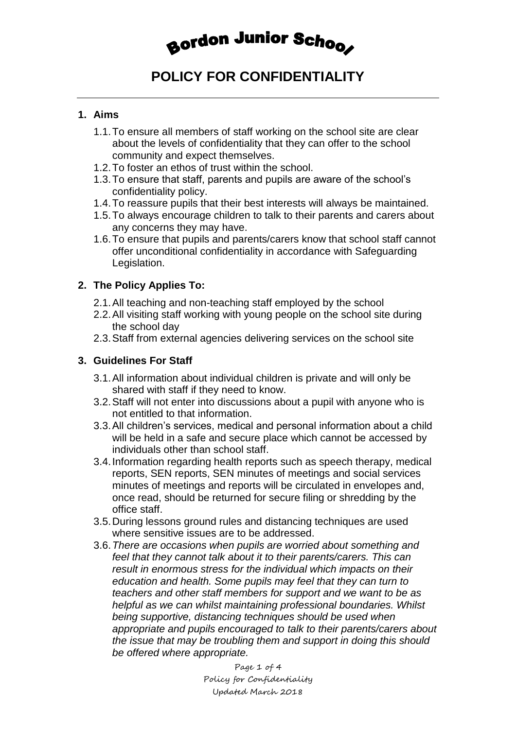## Bordon Junior Schoo

### **POLICY FOR CONFIDENTIALITY**

#### **1. Aims**

- 1.1.To ensure all members of staff working on the school site are clear about the levels of confidentiality that they can offer to the school community and expect themselves.
- 1.2.To foster an ethos of trust within the school.
- 1.3.To ensure that staff, parents and pupils are aware of the school's confidentiality policy.
- 1.4.To reassure pupils that their best interests will always be maintained.
- 1.5.To always encourage children to talk to their parents and carers about any concerns they may have.
- 1.6.To ensure that pupils and parents/carers know that school staff cannot offer unconditional confidentiality in accordance with Safeguarding Legislation.

#### **2. The Policy Applies To:**

- 2.1.All teaching and non-teaching staff employed by the school
- 2.2.All visiting staff working with young people on the school site during the school day
- 2.3.Staff from external agencies delivering services on the school site

#### **3. Guidelines For Staff**

- 3.1.All information about individual children is private and will only be shared with staff if they need to know.
- 3.2.Staff will not enter into discussions about a pupil with anyone who is not entitled to that information.
- 3.3.All children's services, medical and personal information about a child will be held in a safe and secure place which cannot be accessed by individuals other than school staff.
- 3.4.Information regarding health reports such as speech therapy, medical reports, SEN reports, SEN minutes of meetings and social services minutes of meetings and reports will be circulated in envelopes and, once read, should be returned for secure filing or shredding by the office staff.
- 3.5.During lessons ground rules and distancing techniques are used where sensitive issues are to be addressed.
- 3.6.*There are occasions when pupils are worried about something and feel that they cannot talk about it to their parents/carers. This can result in enormous stress for the individual which impacts on their education and health. Some pupils may feel that they can turn to teachers and other staff members for support and we want to be as helpful as we can whilst maintaining professional boundaries. Whilst being supportive, distancing techniques should be used when appropriate and pupils encouraged to talk to their parents/carers about the issue that may be troubling them and support in doing this should be offered where appropriate.*

Page 1 of 4 Policy for Confidentiality Updated March 2018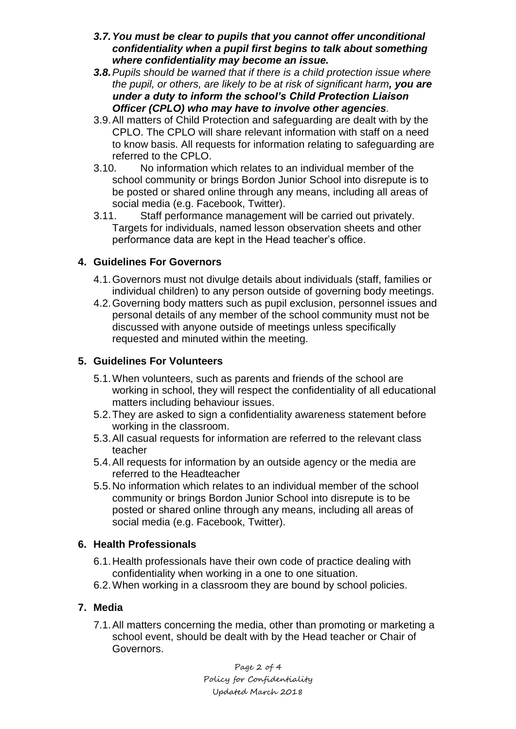- *3.7.You must be clear to pupils that you cannot offer unconditional confidentiality when a pupil first begins to talk about something where confidentiality may become an issue.*
- *3.8.Pupils should be warned that if there is a child protection issue where the pupil, or others, are likely to be at risk of significant harm, you are under a duty to inform the school's Child Protection Liaison Officer (CPLO) who may have to involve other agencies.*
- 3.9.All matters of Child Protection and safeguarding are dealt with by the CPLO. The CPLO will share relevant information with staff on a need to know basis. All requests for information relating to safeguarding are referred to the CPLO.
- 3.10. No information which relates to an individual member of the school community or brings Bordon Junior School into disrepute is to be posted or shared online through any means, including all areas of social media (e.g. Facebook, Twitter).
- 3.11. Staff performance management will be carried out privately. Targets for individuals, named lesson observation sheets and other performance data are kept in the Head teacher's office.

#### **4. Guidelines For Governors**

- 4.1.Governors must not divulge details about individuals (staff, families or individual children) to any person outside of governing body meetings.
- 4.2.Governing body matters such as pupil exclusion, personnel issues and personal details of any member of the school community must not be discussed with anyone outside of meetings unless specifically requested and minuted within the meeting.

#### **5. Guidelines For Volunteers**

- 5.1.When volunteers, such as parents and friends of the school are working in school, they will respect the confidentiality of all educational matters including behaviour issues.
- 5.2.They are asked to sign a confidentiality awareness statement before working in the classroom.
- 5.3.All casual requests for information are referred to the relevant class teacher
- 5.4.All requests for information by an outside agency or the media are referred to the Headteacher
- 5.5.No information which relates to an individual member of the school community or brings Bordon Junior School into disrepute is to be posted or shared online through any means, including all areas of social media (e.g. Facebook, Twitter).

#### **6. Health Professionals**

- 6.1.Health professionals have their own code of practice dealing with confidentiality when working in a one to one situation.
- 6.2.When working in a classroom they are bound by school policies.

#### **7. Media**

7.1.All matters concerning the media, other than promoting or marketing a school event, should be dealt with by the Head teacher or Chair of Governors.

> Page 2 of 4 Policy for Confidentiality Updated March 2018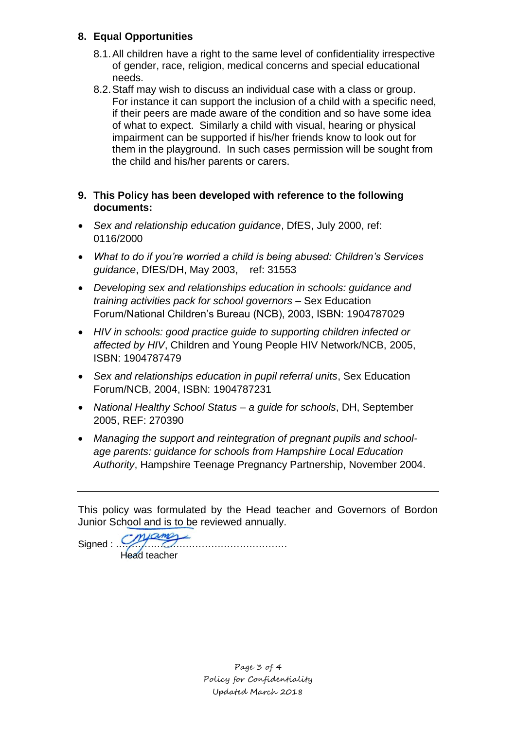#### **8. Equal Opportunities**

- 8.1. All children have a right to the same level of confidentiality irrespective of gender, race, religion, medical concerns and special educational needs.
- 8.2.Staff may wish to discuss an individual case with a class or group. For instance it can support the inclusion of a child with a specific need, if their peers are made aware of the condition and so have some idea of what to expect. Similarly a child with visual, hearing or physical impairment can be supported if his/her friends know to look out for them in the playground. In such cases permission will be sought from the child and his/her parents or carers.
- **9. This Policy has been developed with reference to the following documents:**
- *Sex and relationship education guidance*, DfES, July 2000, ref: 0116/2000
- *What to do if you're worried a child is being abused: Children's Services guidance*, DfES/DH, May 2003, ref: 31553
- *Developing sex and relationships education in schools: guidance and training activities pack for school governors* – Sex Education Forum/National Children's Bureau (NCB), 2003, ISBN: 1904787029
- *HIV in schools: good practice guide to supporting children infected or affected by HIV*, Children and Young People HIV Network/NCB, 2005, ISBN: 1904787479
- *Sex and relationships education in pupil referral units*, Sex Education Forum/NCB, 2004, ISBN: 1904787231
- *National Healthy School Status – a guide for schools*, DH, September 2005, REF: 270390
- *Managing the support and reintegration of pregnant pupils and schoolage parents: guidance for schools from Hampshire Local Education Authority*, Hampshire Teenage Pregnancy Partnership, November 2004.

This policy was formulated by the Head teacher and Governors of Bordon Junior School and is to be reviewed annually.

Signed  $\frac{1}{\sqrt{2}}$ Head teacher